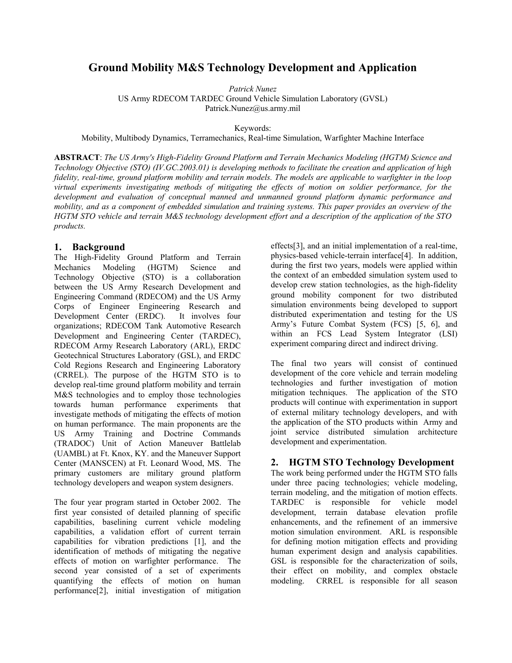# **Ground Mobility M&S Technology Development and Application**

*Patrick Nunez* 

US Army RDECOM TARDEC Ground Vehicle Simulation Laboratory (GVSL)

Patrick.Nunez@us.army.mil

Keywords:

Mobility, Multibody Dynamics, Terramechanics, Real-time Simulation, Warfighter Machine Interface

**ABSTRACT**: *The US Army's High-Fidelity Ground Platform and Terrain Mechanics Modeling (HGTM) Science and Technology Objective (STO) (IV.GC.2003.01) is developing methods to facilitate the creation and application of high fidelity, real-time, ground platform mobility and terrain models. The models are applicable to warfighter in the loop virtual experiments investigating methods of mitigating the effects of motion on soldier performance, for the development and evaluation of conceptual manned and unmanned ground platform dynamic performance and mobility, and as a component of embedded simulation and training systems. This paper provides an overview of the HGTM STO vehicle and terrain M&S technology development effort and a description of the application of the STO products.* 

# **1. Background**

The High-Fidelity Ground Platform and Terrain Mechanics Modeling (HGTM) Science and Technology Objective (STO) is a collaboration between the US Army Research Development and Engineering Command (RDECOM) and the US Army Corps of Engineer Engineering Research and Development Center (ERDC). It involves four organizations; RDECOM Tank Automotive Research Development and Engineering Center (TARDEC), RDECOM Army Research Laboratory (ARL), ERDC Geotechnical Structures Laboratory (GSL), and ERDC Cold Regions Research and Engineering Laboratory (CRREL). The purpose of the HGTM STO is to develop real-time ground platform mobility and terrain M&S technologies and to employ those technologies towards human performance experiments that investigate methods of mitigating the effects of motion on human performance. The main proponents are the US Army Training and Doctrine Commands (TRADOC) Unit of Action Maneuver Battlelab (UAMBL) at Ft. Knox, KY. and the Maneuver Support Center (MANSCEN) at Ft. Leonard Wood, MS. The primary customers are military ground platform technology developers and weapon system designers.

The four year program started in October 2002. The first year consisted of detailed planning of specific capabilities, baselining current vehicle modeling capabilities, a validation effort of current terrain capabilities for vibration predictions [1], and the identification of methods of mitigating the negative effects of motion on warfighter performance. The second year consisted of a set of experiments quantifying the effects of motion on human performance[2], initial investigation of mitigation effects[3], and an initial implementation of a real-time, physics-based vehicle-terrain interface[4]. In addition, during the first two years, models were applied within the context of an embedded simulation system used to develop crew station technologies, as the high-fidelity ground mobility component for two distributed simulation environments being developed to support distributed experimentation and testing for the US Army's Future Combat System (FCS) [5, 6], and within an FCS Lead System Integrator (LSI) experiment comparing direct and indirect driving.

The final two years will consist of continued development of the core vehicle and terrain modeling technologies and further investigation of motion mitigation techniques. The application of the STO products will continue with experimentation in support of external military technology developers, and with the application of the STO products within Army and joint service distributed simulation architecture development and experimentation.

# **2. HGTM STO Technology Development**

The work being performed under the HGTM STO falls under three pacing technologies; vehicle modeling, terrain modeling, and the mitigation of motion effects. TARDEC is responsible for vehicle model development, terrain database elevation profile enhancements, and the refinement of an immersive motion simulation environment. ARL is responsible for defining motion mitigation effects and providing human experiment design and analysis capabilities. GSL is responsible for the characterization of soils, their effect on mobility, and complex obstacle modeling. CRREL is responsible for all season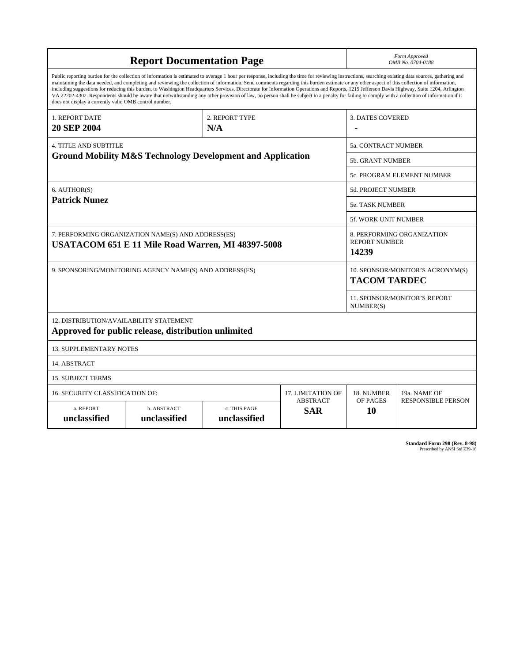| <b>Report Documentation Page</b>                                                                                                                                                                                                                                                                                                                                                                                                                                                                                                                                                                                                                                                                                                                                                                                                                                   |                             |                              |                               |                                                             | Form Approved<br>OMB No. 0704-0188        |  |  |
|--------------------------------------------------------------------------------------------------------------------------------------------------------------------------------------------------------------------------------------------------------------------------------------------------------------------------------------------------------------------------------------------------------------------------------------------------------------------------------------------------------------------------------------------------------------------------------------------------------------------------------------------------------------------------------------------------------------------------------------------------------------------------------------------------------------------------------------------------------------------|-----------------------------|------------------------------|-------------------------------|-------------------------------------------------------------|-------------------------------------------|--|--|
| Public reporting burden for the collection of information is estimated to average 1 hour per response, including the time for reviewing instructions, searching existing data sources, gathering and<br>maintaining the data needed, and completing and reviewing the collection of information. Send comments regarding this burden estimate or any other aspect of this collection of information,<br>including suggestions for reducing this burden, to Washington Headquarters Services, Directorate for Information Operations and Reports, 1215 Jefferson Davis Highway, Suite 1204, Arlington<br>VA 22202-4302. Respondents should be aware that notwithstanding any other provision of law, no person shall be subject to a penalty for failing to comply with a collection of information if it<br>does not display a currently valid OMB control number. |                             |                              |                               |                                                             |                                           |  |  |
| 1. REPORT DATE<br><b>20 SEP 2004</b>                                                                                                                                                                                                                                                                                                                                                                                                                                                                                                                                                                                                                                                                                                                                                                                                                               |                             | 2. REPORT TYPE<br>N/A        |                               | <b>3. DATES COVERED</b>                                     |                                           |  |  |
| <b>4. TITLE AND SUBTITLE</b>                                                                                                                                                                                                                                                                                                                                                                                                                                                                                                                                                                                                                                                                                                                                                                                                                                       |                             |                              |                               | 5a. CONTRACT NUMBER                                         |                                           |  |  |
| <b>Ground Mobility M&amp;S Technology Development and Application</b>                                                                                                                                                                                                                                                                                                                                                                                                                                                                                                                                                                                                                                                                                                                                                                                              |                             |                              |                               | <b>5b. GRANT NUMBER</b>                                     |                                           |  |  |
|                                                                                                                                                                                                                                                                                                                                                                                                                                                                                                                                                                                                                                                                                                                                                                                                                                                                    |                             |                              |                               |                                                             | 5c. PROGRAM ELEMENT NUMBER                |  |  |
| 6. AUTHOR(S)                                                                                                                                                                                                                                                                                                                                                                                                                                                                                                                                                                                                                                                                                                                                                                                                                                                       |                             |                              |                               |                                                             | <b>5d. PROJECT NUMBER</b>                 |  |  |
| <b>Patrick Nunez</b>                                                                                                                                                                                                                                                                                                                                                                                                                                                                                                                                                                                                                                                                                                                                                                                                                                               |                             |                              |                               | <b>5e. TASK NUMBER</b>                                      |                                           |  |  |
|                                                                                                                                                                                                                                                                                                                                                                                                                                                                                                                                                                                                                                                                                                                                                                                                                                                                    |                             |                              |                               |                                                             | <b>5f. WORK UNIT NUMBER</b>               |  |  |
| 7. PERFORMING ORGANIZATION NAME(S) AND ADDRESS(ES)<br>USATACOM 651 E 11 Mile Road Warren, MI 48397-5008                                                                                                                                                                                                                                                                                                                                                                                                                                                                                                                                                                                                                                                                                                                                                            |                             |                              |                               | 8. PERFORMING ORGANIZATION<br><b>REPORT NUMBER</b><br>14239 |                                           |  |  |
| 9. SPONSORING/MONITORING AGENCY NAME(S) AND ADDRESS(ES)                                                                                                                                                                                                                                                                                                                                                                                                                                                                                                                                                                                                                                                                                                                                                                                                            |                             |                              |                               | 10. SPONSOR/MONITOR'S ACRONYM(S)<br><b>TACOM TARDEC</b>     |                                           |  |  |
|                                                                                                                                                                                                                                                                                                                                                                                                                                                                                                                                                                                                                                                                                                                                                                                                                                                                    |                             |                              |                               |                                                             | 11. SPONSOR/MONITOR'S REPORT<br>NUMBER(S) |  |  |
| 12. DISTRIBUTION/AVAILABILITY STATEMENT<br>Approved for public release, distribution unlimited                                                                                                                                                                                                                                                                                                                                                                                                                                                                                                                                                                                                                                                                                                                                                                     |                             |                              |                               |                                                             |                                           |  |  |
| <b>13. SUPPLEMENTARY NOTES</b>                                                                                                                                                                                                                                                                                                                                                                                                                                                                                                                                                                                                                                                                                                                                                                                                                                     |                             |                              |                               |                                                             |                                           |  |  |
| 14. ABSTRACT                                                                                                                                                                                                                                                                                                                                                                                                                                                                                                                                                                                                                                                                                                                                                                                                                                                       |                             |                              |                               |                                                             |                                           |  |  |
| <b>15. SUBJECT TERMS</b>                                                                                                                                                                                                                                                                                                                                                                                                                                                                                                                                                                                                                                                                                                                                                                                                                                           |                             |                              |                               |                                                             |                                           |  |  |
| 16. SECURITY CLASSIFICATION OF:                                                                                                                                                                                                                                                                                                                                                                                                                                                                                                                                                                                                                                                                                                                                                                                                                                    | <b>17. LIMITATION OF</b>    | 18. NUMBER                   | 19a. NAME OF                  |                                                             |                                           |  |  |
| a. REPORT<br>unclassified                                                                                                                                                                                                                                                                                                                                                                                                                                                                                                                                                                                                                                                                                                                                                                                                                                          | b. ABSTRACT<br>unclassified | c. THIS PAGE<br>unclassified | <b>ABSTRACT</b><br><b>SAR</b> | OF PAGES<br>10                                              | <b>RESPONSIBLE PERSON</b>                 |  |  |

| Standard Form 298 (Rev. 8-98) |                               |  |  |
|-------------------------------|-------------------------------|--|--|
|                               | Prescribed by ANSI Std Z39-18 |  |  |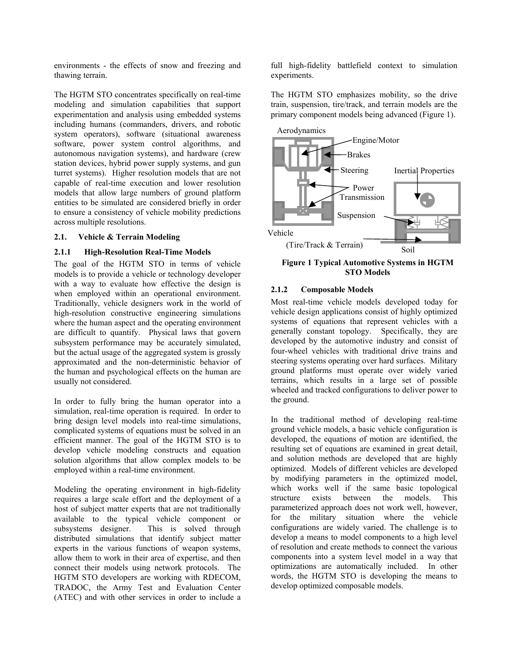environments - the effects of snow and freezing and thawing terrain.

The HGTM STO concentrates specifically on real-time modeling and simulation capabilities that support experimentation and analysis using embedded systems including humans (commanders, drivers, and robotic system operators), software (situational awareness software, power system control algorithms, and autonomous navigation systems), and hardware (crew station devices, hybrid power supply systems, and gun turret systems). Higher resolution models that are not capable of real-time execution and lower resolution models that allow large numbers of ground platform entities to be simulated are considered briefly in order to ensure a consistency of vehicle mobility predictions across multiple resolutions.

### **2.1. Vehicle & Terrain Modeling**

### **2.1.1 High-Resolution Real-Time Models**

The goal of the HGTM STO in terms of vehicle models is to provide a vehicle or technology developer with a way to evaluate how effective the design is when employed within an operational environment. Traditionally, vehicle designers work in the world of high-resolution constructive engineering simulations where the human aspect and the operating environment are difficult to quantify. Physical laws that govern subsystem performance may be accurately simulated, but the actual usage of the aggregated system is grossly approximated and the non-deterministic behavior of the human and psychological effects on the human are usually not considered.

In order to fully bring the human operator into a simulation, real-time operation is required. In order to bring design level models into real-time simulations, complicated systems of equations must be solved in an efficient manner. The goal of the HGTM STO is to develop vehicle modeling constructs and equation solution algorithms that allow complex models to be employed within a real-time environment.

Modeling the operating environment in high-fidelity requires a large scale effort and the deployment of a host of subject matter experts that are not traditionally available to the typical vehicle component or subsystems designer. This is solved through distributed simulations that identify subject matter experts in the various functions of weapon systems, allow them to work in their area of expertise, and then connect their models using network protocols. The HGTM STO developers are working with RDECOM, TRADOC, the Army Test and Evaluation Center (ATEC) and with other services in order to include a

full high-fidelity battlefield context to simulation experiments.

The HGTM STO emphasizes mobility, so the drive train, suspension, tire/track, and terrain models are the primary component models being advanced (Figure 1).



**Figure 1 Typical Automotive Systems in HGTM STO Models** 

### **2.1.2 Composable Models**

Most real-time vehicle models developed today for vehicle design applications consist of highly optimized systems of equations that represent vehicles with a generally constant topology. Specifically, they are developed by the automotive industry and consist of four-wheel vehicles with traditional drive trains and steering systems operating over hard surfaces. Military ground platforms must operate over widely varied terrains, which results in a large set of possible wheeled and tracked configurations to deliver power to the ground.

In the traditional method of developing real-time ground vehicle models, a basic vehicle configuration is developed, the equations of motion are identified, the resulting set of equations are examined in great detail, and solution methods are developed that are highly optimized. Models of different vehicles are developed by modifying parameters in the optimized model, which works well if the same basic topological structure exists between the models. This parameterized approach does not work well, however, for the military situation where the vehicle configurations are widely varied. The challenge is to develop a means to model components to a high level of resolution and create methods to connect the various components into a system level model in a way that optimizations are automatically included. In other words, the HGTM STO is developing the means to develop optimized composable models.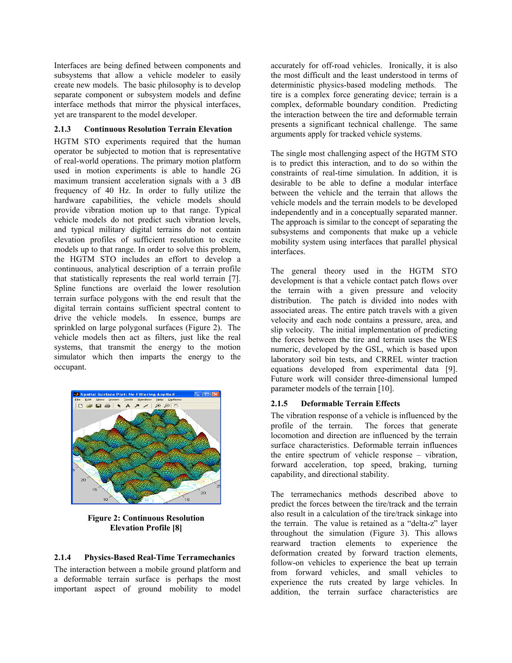Interfaces are being defined between components and subsystems that allow a vehicle modeler to easily create new models. The basic philosophy is to develop separate component or subsystem models and define interface methods that mirror the physical interfaces, yet are transparent to the model developer.

### **2.1.3 Continuous Resolution Terrain Elevation**

HGTM STO experiments required that the human operator be subjected to motion that is representative of real-world operations. The primary motion platform used in motion experiments is able to handle 2G maximum transient acceleration signals with a 3 dB frequency of 40 Hz. In order to fully utilize the hardware capabilities, the vehicle models should provide vibration motion up to that range. Typical vehicle models do not predict such vibration levels, and typical military digital terrains do not contain elevation profiles of sufficient resolution to excite models up to that range. In order to solve this problem, the HGTM STO includes an effort to develop a continuous, analytical description of a terrain profile that statistically represents the real world terrain [7]. Spline functions are overlaid the lower resolution terrain surface polygons with the end result that the digital terrain contains sufficient spectral content to drive the vehicle models. In essence, bumps are sprinkled on large polygonal surfaces (Figure 2). The vehicle models then act as filters, just like the real systems, that transmit the energy to the motion simulator which then imparts the energy to the occupant.



**Figure 2: Continuous Resolution Elevation Profile [8]**

### **2.1.4 Physics-Based Real-Time Terramechanics**

The interaction between a mobile ground platform and a deformable terrain surface is perhaps the most important aspect of ground mobility to model

accurately for off-road vehicles. Ironically, it is also the most difficult and the least understood in terms of deterministic physics-based modeling methods. The tire is a complex force generating device; terrain is a complex, deformable boundary condition. Predicting the interaction between the tire and deformable terrain presents a significant technical challenge. The same arguments apply for tracked vehicle systems.

The single most challenging aspect of the HGTM STO is to predict this interaction, and to do so within the constraints of real-time simulation. In addition, it is desirable to be able to define a modular interface between the vehicle and the terrain that allows the vehicle models and the terrain models to be developed independently and in a conceptually separated manner. The approach is similar to the concept of separating the subsystems and components that make up a vehicle mobility system using interfaces that parallel physical interfaces.

The general theory used in the HGTM STO development is that a vehicle contact patch flows over the terrain with a given pressure and velocity distribution. The patch is divided into nodes with associated areas. The entire patch travels with a given velocity and each node contains a pressure, area, and slip velocity. The initial implementation of predicting the forces between the tire and terrain uses the WES numeric, developed by the GSL, which is based upon laboratory soil bin tests, and CRREL winter traction equations developed from experimental data [9]. Future work will consider three-dimensional lumped parameter models of the terrain [10].

### **2.1.5 Deformable Terrain Effects**

The vibration response of a vehicle is influenced by the profile of the terrain. The forces that generate locomotion and direction are influenced by the terrain surface characteristics. Deformable terrain influences the entire spectrum of vehicle response – vibration, forward acceleration, top speed, braking, turning capability, and directional stability.

The terramechanics methods described above to predict the forces between the tire/track and the terrain also result in a calculation of the tire/track sinkage into the terrain. The value is retained as a "delta-z" layer throughout the simulation (Figure 3). This allows rearward traction elements to experience the deformation created by forward traction elements, follow-on vehicles to experience the beat up terrain from forward vehicles, and small vehicles to experience the ruts created by large vehicles. In addition, the terrain surface characteristics are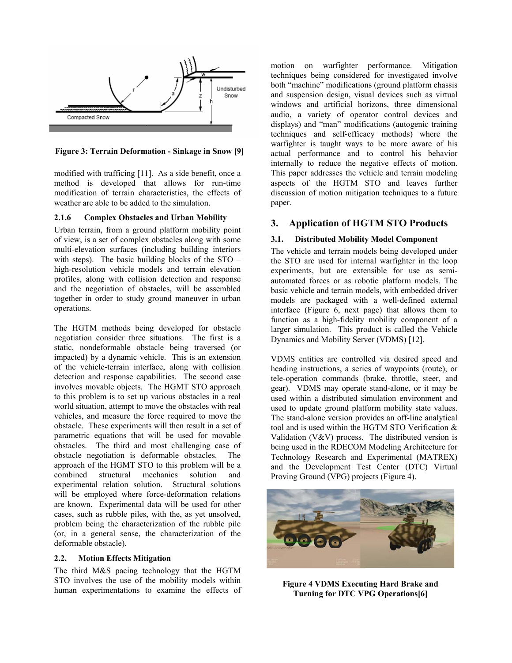

**Figure 3: Terrain Deformation - Sinkage in Snow [9]** 

modified with trafficing [11]. As a side benefit, once a method is developed that allows for run-time modification of terrain characteristics, the effects of weather are able to be added to the simulation.

### **2.1.6 Complex Obstacles and Urban Mobility**

Urban terrain, from a ground platform mobility point of view, is a set of complex obstacles along with some multi-elevation surfaces (including building interiors with steps). The basic building blocks of the STO – high-resolution vehicle models and terrain elevation profiles, along with collision detection and response and the negotiation of obstacles, will be assembled together in order to study ground maneuver in urban operations.

The HGTM methods being developed for obstacle negotiation consider three situations. The first is a static, nondeformable obstacle being traversed (or impacted) by a dynamic vehicle. This is an extension of the vehicle-terrain interface, along with collision detection and response capabilities. The second case involves movable objects. The HGMT STO approach to this problem is to set up various obstacles in a real world situation, attempt to move the obstacles with real vehicles, and measure the force required to move the obstacle. These experiments will then result in a set of parametric equations that will be used for movable obstacles. The third and most challenging case of obstacle negotiation is deformable obstacles. The approach of the HGMT STO to this problem will be a combined structural mechanics solution and experimental relation solution. Structural solutions will be employed where force-deformation relations are known. Experimental data will be used for other cases, such as rubble piles, with the, as yet unsolved, problem being the characterization of the rubble pile (or, in a general sense, the characterization of the deformable obstacle).

#### **2.2. Motion Effects Mitigation**

The third M&S pacing technology that the HGTM STO involves the use of the mobility models within human experimentations to examine the effects of motion on warfighter performance. Mitigation techniques being considered for investigated involve both "machine" modifications (ground platform chassis and suspension design, visual devices such as virtual windows and artificial horizons, three dimensional audio, a variety of operator control devices and displays) and "man" modifications (autogenic training techniques and self-efficacy methods) where the warfighter is taught ways to be more aware of his actual performance and to control his behavior internally to reduce the negative effects of motion. This paper addresses the vehicle and terrain modeling aspects of the HGTM STO and leaves further discussion of motion mitigation techniques to a future paper.

### **3. Application of HGTM STO Products**

### **3.1. Distributed Mobility Model Component**

The vehicle and terrain models being developed under the STO are used for internal warfighter in the loop experiments, but are extensible for use as semiautomated forces or as robotic platform models. The basic vehicle and terrain models, with embedded driver models are packaged with a well-defined external interface (Figure 6, next page) that allows them to function as a high-fidelity mobility component of a larger simulation. This product is called the Vehicle Dynamics and Mobility Server (VDMS) [12].

VDMS entities are controlled via desired speed and heading instructions, a series of waypoints (route), or tele-operation commands (brake, throttle, steer, and gear). VDMS may operate stand-alone, or it may be used within a distributed simulation environment and used to update ground platform mobility state values. The stand-alone version provides an off-line analytical tool and is used within the HGTM STO Verification & Validation (V&V) process. The distributed version is being used in the RDECOM Modeling Architecture for Technology Research and Experimental (MATREX) and the Development Test Center (DTC) Virtual Proving Ground (VPG) projects (Figure 4).



**Figure 4 VDMS Executing Hard Brake and Turning for DTC VPG Operations[6]**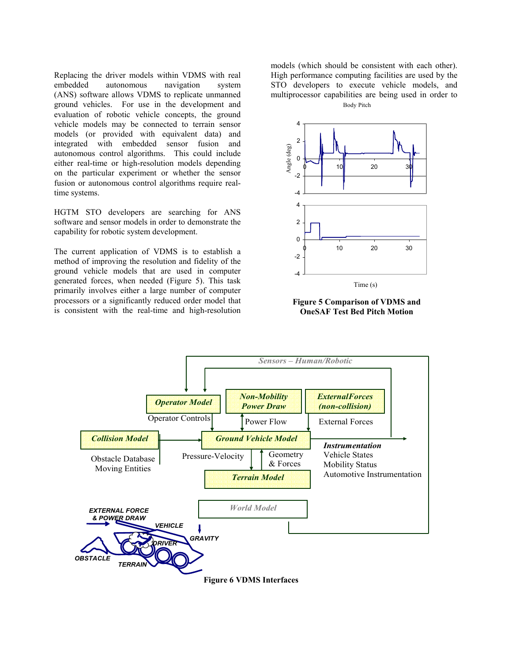Replacing the driver models within VDMS with real embedded autonomous navigation system (ANS) software allows VDMS to replicate unmanned ground vehicles. For use in the development and evaluation of robotic vehicle concepts, the ground vehicle models may be connected to terrain sensor models (or provided with equivalent data) and integrated with embedded sensor fusion and autonomous control algorithms. This could include either real-time or high-resolution models depending on the particular experiment or whether the sensor fusion or autonomous control algorithms require realtime systems.

HGTM STO developers are searching for ANS software and sensor models in order to demonstrate the capability for robotic system development.

The current application of VDMS is to establish a method of improving the resolution and fidelity of the ground vehicle models that are used in computer generated forces, when needed (Figure 5). This task primarily involves either a large number of computer processors or a significantly reduced order model that is consistent with the real-time and high-resolution

models (which should be consistent with each other). High performance computing facilities are used by the STO developers to execute vehicle models, and multiprocessor capabilities are being used in order to Body Pitch



**Figure 5 Comparison of VDMS and OneSAF Test Bed Pitch Motion**



**Figure 6 VDMS Interfaces**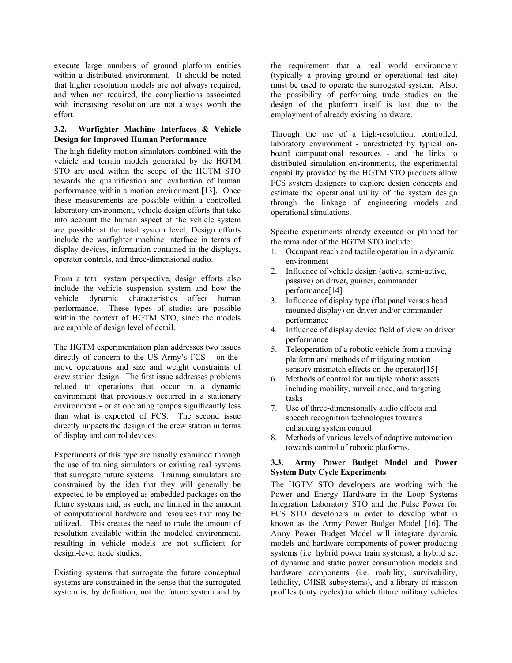execute large numbers of ground platform entities within a distributed environment. It should be noted that higher resolution models are not always required, and when not required, the complications associated with increasing resolution are not always worth the effort.

### **3.2. Warfighter Machine Interfaces & Vehicle Design for Improved Human Performance**

The high fidelity motion simulators combined with the vehicle and terrain models generated by the HGTM STO are used within the scope of the HGTM STO towards the quantification and evaluation of human performance within a motion environment [13]. Once these measurements are possible within a controlled laboratory environment, vehicle design efforts that take into account the human aspect of the vehicle system are possible at the total system level. Design efforts include the warfighter machine interface in terms of display devices, information contained in the displays, operator controls, and three-dimensional audio.

From a total system perspective, design efforts also include the vehicle suspension system and how the vehicle dynamic characteristics affect human performance. These types of studies are possible within the context of HGTM STO, since the models are capable of design level of detail.

The HGTM experimentation plan addresses two issues directly of concern to the US Army's FCS – on-themove operations and size and weight constraints of crew station design. The first issue addresses problems related to operations that occur in a dynamic environment that previously occurred in a stationary environment - or at operating tempos significantly less than what is expected of FCS. The second issue directly impacts the design of the crew station in terms of display and control devices.

Experiments of this type are usually examined through the use of training simulators or existing real systems that surrogate future systems. Training simulators are constrained by the idea that they will generally be expected to be employed as embedded packages on the future systems and, as such, are limited in the amount of computational hardware and resources that may be utilized. This creates the need to trade the amount of resolution available within the modeled environment, resulting in vehicle models are not sufficient for design-level trade studies.

Existing systems that surrogate the future conceptual systems are constrained in the sense that the surrogated system is, by definition, not the future system and by the requirement that a real world environment (typically a proving ground or operational test site) must be used to operate the surrogated system. Also, the possibility of performing trade studies on the design of the platform itself is lost due to the employment of already existing hardware.

Through the use of a high-resolution, controlled, laboratory environment - unrestricted by typical onboard computational resources - and the links to distributed simulation environments, the experimental capability provided by the HGTM STO products allow FCS system designers to explore design concepts and estimate the operational utility of the system design through the linkage of engineering models and operational simulations.

Specific experiments already executed or planned for the remainder of the HGTM STO include:

- 1. Occupant reach and tactile operation in a dynamic environment
- 2. Influence of vehicle design (active, semi-active, passive) on driver, gunner, commander performance[14]
- 3. Influence of display type (flat panel versus head mounted display) on driver and/or commander performance
- 4. Influence of display device field of view on driver performance
- 5. Teleoperation of a robotic vehicle from a moving platform and methods of mitigating motion sensory mismatch effects on the operator [15]
- 6. Methods of control for multiple robotic assets including mobility, surveillance, and targeting tasks
- 7. Use of three-dimensionally audio effects and speech recognition technologies towards enhancing system control
- 8. Methods of various levels of adaptive automation towards control of robotic platforms.

### **3.3. Army Power Budget Model and Power System Duty Cycle Experiments**

The HGTM STO developers are working with the Power and Energy Hardware in the Loop Systems Integration Laboratory STO and the Pulse Power for FCS STO developers in order to develop what is known as the Army Power Budget Model [16]. The Army Power Budget Model will integrate dynamic models and hardware components of power producing systems (i.e. hybrid power train systems), a hybrid set of dynamic and static power consumption models and hardware components (*i.e.* mobility, survivability, lethality, C4ISR subsystems), and a library of mission profiles (duty cycles) to which future military vehicles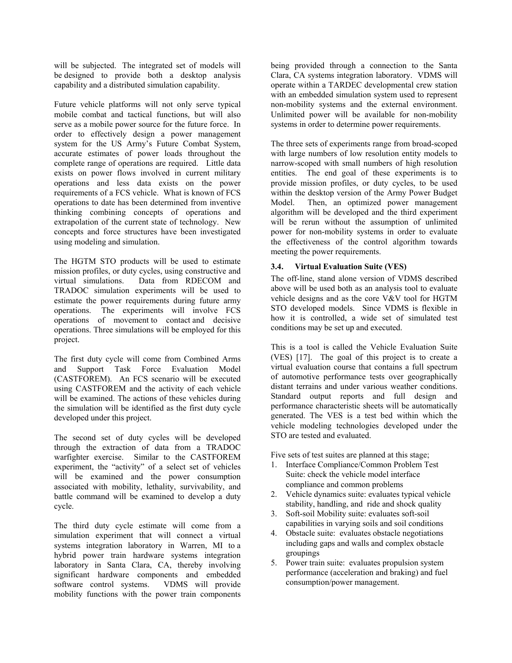will be subjected. The integrated set of models will be designed to provide both a desktop analysis capability and a distributed simulation capability.

Future vehicle platforms will not only serve typical mobile combat and tactical functions, but will also serve as a mobile power source for the future force. In order to effectively design a power management system for the US Army's Future Combat System, accurate estimates of power loads throughout the complete range of operations are required. Little data exists on power flows involved in current military operations and less data exists on the power requirements of a FCS vehicle. What is known of FCS operations to date has been determined from inventive thinking combining concepts of operations and extrapolation of the current state of technology. New concepts and force structures have been investigated using modeling and simulation.

The HGTM STO products will be used to estimate mission profiles, or duty cycles, using constructive and virtual simulations. Data from RDECOM and TRADOC simulation experiments will be used to estimate the power requirements during future army operations. The experiments will involve FCS operations of movement to contact and decisive operations. Three simulations will be employed for this project.

The first duty cycle will come from Combined Arms and Support Task Force Evaluation Model (CASTFOREM). An FCS scenario will be executed using CASTFOREM and the activity of each vehicle will be examined. The actions of these vehicles during the simulation will be identified as the first duty cycle developed under this project.

The second set of duty cycles will be developed through the extraction of data from a TRADOC warfighter exercise. Similar to the CASTFOREM experiment, the "activity" of a select set of vehicles will be examined and the power consumption associated with mobility, lethality, survivability, and battle command will be examined to develop a duty cycle.

The third duty cycle estimate will come from a simulation experiment that will connect a virtual systems integration laboratory in Warren, MI to a hybrid power train hardware systems integration laboratory in Santa Clara, CA, thereby involving significant hardware components and embedded software control systems. VDMS will provide mobility functions with the power train components

being provided through a connection to the Santa Clara, CA systems integration laboratory. VDMS will operate within a TARDEC developmental crew station with an embedded simulation system used to represent non-mobility systems and the external environment. Unlimited power will be available for non-mobility systems in order to determine power requirements.

The three sets of experiments range from broad-scoped with large numbers of low resolution entity models to narrow-scoped with small numbers of high resolution entities. The end goal of these experiments is to provide mission profiles, or duty cycles, to be used within the desktop version of the Army Power Budget Model. Then, an optimized power management algorithm will be developed and the third experiment will be rerun without the assumption of unlimited power for non-mobility systems in order to evaluate the effectiveness of the control algorithm towards meeting the power requirements.

### **3.4. Virtual Evaluation Suite (VES)**

The off-line, stand alone version of VDMS described above will be used both as an analysis tool to evaluate vehicle designs and as the core V&V tool for HGTM STO developed models. Since VDMS is flexible in how it is controlled, a wide set of simulated test conditions may be set up and executed.

This is a tool is called the Vehicle Evaluation Suite (VES) [17]. The goal of this project is to create a virtual evaluation course that contains a full spectrum of automotive performance tests over geographically distant terrains and under various weather conditions. Standard output reports and full design and performance characteristic sheets will be automatically generated. The VES is a test bed within which the vehicle modeling technologies developed under the STO are tested and evaluated.

Five sets of test suites are planned at this stage;

- 1. Interface Compliance/Common Problem Test Suite: check the vehicle model interface compliance and common problems
- 2. Vehicle dynamics suite: evaluates typical vehicle stability, handling, and ride and shock quality
- 3. Soft-soil Mobility suite: evaluates soft-soil capabilities in varying soils and soil conditions
- 4. Obstacle suite: evaluates obstacle negotiations including gaps and walls and complex obstacle groupings
- 5. Power train suite: evaluates propulsion system performance (acceleration and braking) and fuel consumption/power management.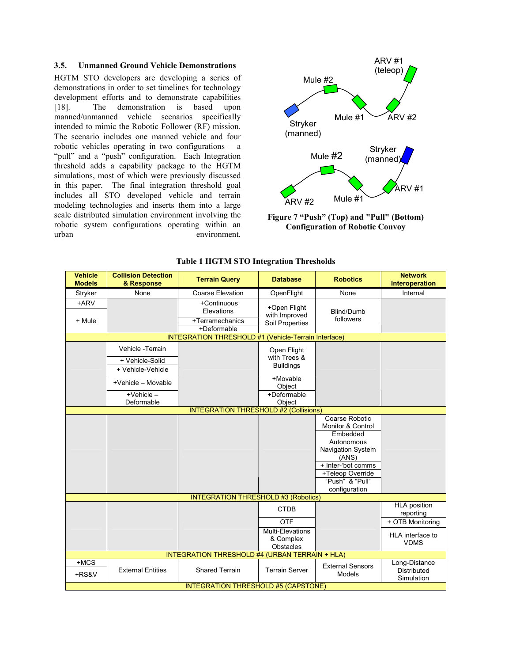#### **3.5. Unmanned Ground Vehicle Demonstrations**

HGTM STO developers are developing a series of demonstrations in order to set timelines for technology development efforts and to demonstrate capabilities [18]. The demonstration is based upon manned/unmanned vehicle scenarios specifically intended to mimic the Robotic Follower (RF) mission. The scenario includes one manned vehicle and four robotic vehicles operating in two configurations – a "pull" and a "push" configuration. Each Integration threshold adds a capability package to the HGTM simulations, most of which were previously discussed in this paper. The final integration threshold goal includes all STO developed vehicle and terrain modeling technologies and inserts them into a large scale distributed simulation environment involving the robotic system configurations operating within an urban environment.



**Figure 7 "Push" (Top) and "Pull" (Bottom) Configuration of Robotic Convoy** 

| <b>Vehicle</b><br><b>Models</b>                      | <b>Collision Detection</b><br>& Response               | <b>Terrain Query</b>                                        | <b>Database</b>                                  | <b>Robotics</b>                                                                                                                                                                             | <b>Network</b><br>Interoperation                  |  |  |
|------------------------------------------------------|--------------------------------------------------------|-------------------------------------------------------------|--------------------------------------------------|---------------------------------------------------------------------------------------------------------------------------------------------------------------------------------------------|---------------------------------------------------|--|--|
| Stryker                                              | None                                                   | <b>Coarse Elevation</b>                                     | OpenFlight                                       | None                                                                                                                                                                                        | Internal                                          |  |  |
| +ARV<br>+ Mule                                       |                                                        | +Continuous<br>Elevations<br>+Terramechanics<br>+Deformable | +Open Flight<br>with Improved<br>Soil Properties | Blind/Dumb<br>followers                                                                                                                                                                     |                                                   |  |  |
| INTEGRATION THRESHOLD #1 (Vehicle-Terrain Interface) |                                                        |                                                             |                                                  |                                                                                                                                                                                             |                                                   |  |  |
|                                                      | Vehicle -Terrain<br>+ Vehicle-Solid                    |                                                             | Open Flight<br>with Trees &                      |                                                                                                                                                                                             |                                                   |  |  |
|                                                      | + Vehicle-Vehicle                                      |                                                             | <b>Buildings</b>                                 |                                                                                                                                                                                             |                                                   |  |  |
|                                                      | +Vehicle - Movable                                     |                                                             | +Movable<br>Object                               |                                                                                                                                                                                             |                                                   |  |  |
|                                                      | $+$ Vehicle $-$<br>Deformable                          |                                                             | +Deformable                                      |                                                                                                                                                                                             |                                                   |  |  |
|                                                      | Object<br><b>INTEGRATION THRESHOLD #2 (Collisions)</b> |                                                             |                                                  |                                                                                                                                                                                             |                                                   |  |  |
|                                                      |                                                        |                                                             |                                                  | Coarse Robotic<br><b>Monitor &amp; Control</b><br>Embedded<br>Autonomous<br><b>Navigation System</b><br>(ANS)<br>+ Inter-'bot comms<br>+Teleop Override<br>"Push" & "Pull"<br>configuration |                                                   |  |  |
| <b>INTEGRATION THRESHOLD #3 (Robotics)</b>           |                                                        |                                                             |                                                  |                                                                                                                                                                                             |                                                   |  |  |
|                                                      |                                                        |                                                             | <b>CTDB</b>                                      |                                                                                                                                                                                             | <b>HLA position</b><br>reporting                  |  |  |
|                                                      |                                                        |                                                             | <b>OTF</b>                                       |                                                                                                                                                                                             | + OTB Monitoring                                  |  |  |
|                                                      |                                                        |                                                             | Multi-Elevations<br>& Complex<br>Obstacles       |                                                                                                                                                                                             | HLA interface to<br><b>VDMS</b>                   |  |  |
| INTEGRATION THRESHOLD #4 (URBAN TERRAIN + HLA)       |                                                        |                                                             |                                                  |                                                                                                                                                                                             |                                                   |  |  |
| $+MCS$<br>+RS&V                                      | <b>External Entities</b>                               | <b>Shared Terrain</b>                                       | <b>Terrain Server</b>                            | <b>External Sensors</b><br>Models                                                                                                                                                           | Long-Distance<br><b>Distributed</b><br>Simulation |  |  |
| <b>INTEGRATION THRESHOLD #5 (CAPSTONE)</b>           |                                                        |                                                             |                                                  |                                                                                                                                                                                             |                                                   |  |  |

### **Table 1 HGTM STO Integration Thresholds**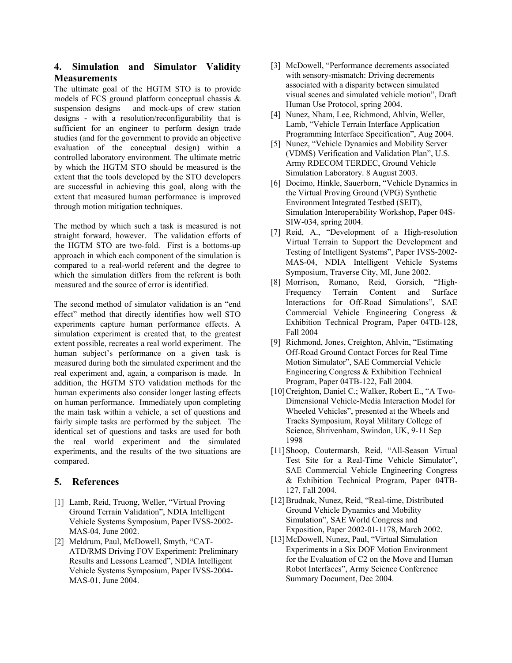# **4. Simulation and Simulator Validity Measurements**

The ultimate goal of the HGTM STO is to provide models of FCS ground platform conceptual chassis & suspension designs – and mock-ups of crew station designs - with a resolution/reconfigurability that is sufficient for an engineer to perform design trade studies (and for the government to provide an objective evaluation of the conceptual design) within a controlled laboratory environment. The ultimate metric by which the HGTM STO should be measured is the extent that the tools developed by the STO developers are successful in achieving this goal, along with the extent that measured human performance is improved through motion mitigation techniques.

The method by which such a task is measured is not straight forward, however. The validation efforts of the HGTM STO are two-fold. First is a bottoms-up approach in which each component of the simulation is compared to a real-world referent and the degree to which the simulation differs from the referent is both measured and the source of error is identified.

The second method of simulator validation is an "end effect" method that directly identifies how well STO experiments capture human performance effects. A simulation experiment is created that, to the greatest extent possible, recreates a real world experiment. The human subject's performance on a given task is measured during both the simulated experiment and the real experiment and, again, a comparison is made. In addition, the HGTM STO validation methods for the human experiments also consider longer lasting effects on human performance. Immediately upon completing the main task within a vehicle, a set of questions and fairly simple tasks are performed by the subject. The identical set of questions and tasks are used for both the real world experiment and the simulated experiments, and the results of the two situations are compared.

# **5. References**

- [1] Lamb, Reid, Truong, Weller, "Virtual Proving Ground Terrain Validation", NDIA Intelligent Vehicle Systems Symposium, Paper IVSS-2002- MAS-04, June 2002.
- [2] Meldrum, Paul, McDowell, Smyth, "CAT-ATD/RMS Driving FOV Experiment: Preliminary Results and Lessons Learned", NDIA Intelligent Vehicle Systems Symposium, Paper IVSS-2004- MAS-01, June 2004.
- [3] McDowell, "Performance decrements associated with sensory-mismatch: Driving decrements associated with a disparity between simulated visual scenes and simulated vehicle motion", Draft Human Use Protocol, spring 2004.
- [4] Nunez, Nham, Lee, Richmond, Ahlvin, Weller, Lamb, "Vehicle Terrain Interface Application Programming Interface Specification", Aug 2004.
- [5] Nunez, "Vehicle Dynamics and Mobility Server (VDMS) Verification and Validation Plan", U.S. Army RDECOM TERDEC, Ground Vehicle Simulation Laboratory. 8 August 2003.
- [6] Docimo, Hinkle, Sauerborn, "Vehicle Dynamics in the Virtual Proving Ground (VPG) Synthetic Environment Integrated Testbed (SEIT), Simulation Interoperability Workshop, Paper 04S-SIW-034, spring 2004.
- [7] Reid, A., "Development of a High-resolution Virtual Terrain to Support the Development and Testing of Intelligent Systems", Paper IVSS-2002- MAS-04, NDIA Intelligent Vehicle Systems Symposium, Traverse City, MI, June 2002.
- [8] Morrison, Romano, Reid, Gorsich, "High-Frequency Terrain Content and Surface Interactions for Off-Road Simulations", SAE Commercial Vehicle Engineering Congress & Exhibition Technical Program, Paper 04TB-128, Fall 2004
- [9] Richmond, Jones, Creighton, Ahlvin, "Estimating Off-Road Ground Contact Forces for Real Time Motion Simulator", SAE Commercial Vehicle Engineering Congress & Exhibition Technical Program, Paper 04TB-122, Fall 2004.
- [10] Creighton, Daniel C.; Walker, Robert E., "A Two-Dimensional Vehicle-Media Interaction Model for Wheeled Vehicles", presented at the Wheels and Tracks Symposium, Royal Military College of Science, Shrivenham, Swindon, UK, 9-11 Sep 1998
- [11] Shoop, Coutermarsh, Reid, "All-Season Virtual Test Site for a Real-Time Vehicle Simulator", SAE Commercial Vehicle Engineering Congress & Exhibition Technical Program, Paper 04TB-127, Fall 2004.
- [12] Brudnak, Nunez, Reid, "Real-time, Distributed Ground Vehicle Dynamics and Mobility Simulation", SAE World Congress and Exposition, Paper 2002-01-1178, March 2002.
- [13] McDowell, Nunez, Paul, "Virtual Simulation Experiments in a Six DOF Motion Environment for the Evaluation of C2 on the Move and Human Robot Interfaces", Army Science Conference Summary Document, Dec 2004.